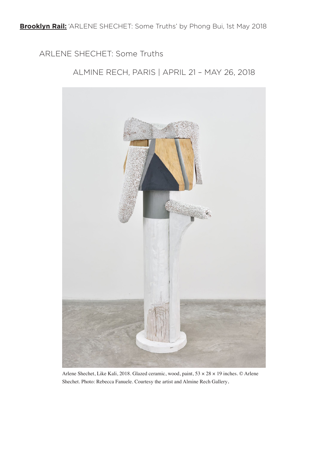ARLENE SHECHET: Some Truths

ALMINE RECH, PARIS | APRIL 21 – MAY 26, 2018



Arlene Shechet, Like Kali, 2018. Glazed ceramic, wood, paint, 53 × 28 × 19 inches. © Arlene Shechet. Photo: Rebecca Fanuele. Courtesy the artist and Almine Rech Gallery.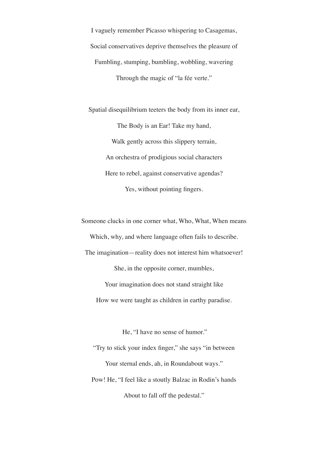I vaguely remember Picasso whispering to Casagemas, Social conservatives deprive themselves the pleasure of Fumbling, stumping, bumbling, wobbling, wavering Through the magic of "la fée verte."

Spatial disequilibrium teeters the body from its inner ear, The Body is an Ear! Take my hand, Walk gently across this slippery terrain, An orchestra of prodigious social characters Here to rebel, against conservative agendas? Yes, without pointing fingers.

Someone clucks in one corner what, Who, What, When means Which, why, and where language often fails to describe. The imagination—reality does not interest him whatsoever! She, in the opposite corner, mumbles, Your imagination does not stand straight like How we were taught as children in earthy paradise.

He, "I have no sense of humor."

"Try to stick your index finger," she says "in between Your sternal ends, ah, in Roundabout ways." Pow! He, "I feel like a stoutly Balzac in Rodin's hands About to fall off the pedestal."